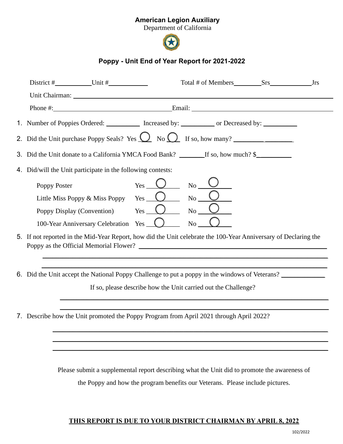## American Legion Auxiliary

Department of California



## Poppy - Unit End of Year Report for 2021-2022

| District $#$ Unit $#$                                                                                                                                                                                                         |
|-------------------------------------------------------------------------------------------------------------------------------------------------------------------------------------------------------------------------------|
| Unit Chairman: 1988 and 2008 and 2008 and 2008 and 2008 and 2008 and 2008 and 2008 and 2008 and 2008 and 2008 and 2008 and 2008 and 2008 and 2008 and 2008 and 2008 and 2008 and 2008 and 2008 and 2008 and 2008 and 2008 and |
|                                                                                                                                                                                                                               |
| 1. Number of Poppies Ordered: Increased by: Increased by: Increased by: Increased by:                                                                                                                                         |
| 2. Did the Unit purchase Poppy Seals? Yes $\bigcirc$ No $\bigcirc$ If so, how many?                                                                                                                                           |
|                                                                                                                                                                                                                               |
| 4. Did/will the Unit participate in the following contests:                                                                                                                                                                   |
| $No$ <sub>__</sub><br>Poppy Poster                                                                                                                                                                                            |
| Yes $\bigcup$<br>No<br>Little Miss Poppy & Miss Poppy                                                                                                                                                                         |
| $Yes$ $\overline{\phantom{a}}$<br>No<br>Poppy Display (Convention)                                                                                                                                                            |
| No<br>100-Year Anniversary Celebration Yes_                                                                                                                                                                                   |
| 5. If not reported in the Mid-Year Report, how did the Unit celebrate the 100-Year Anniversary of Declaring the                                                                                                               |
| 6. Did the Unit accept the National Poppy Challenge to put a poppy in the windows of Veterans? ______________                                                                                                                 |
| If so, please describe how the Unit carried out the Challenge?                                                                                                                                                                |
| 7. Describe how the Unit promoted the Poppy Program from April 2021 through April 2022?                                                                                                                                       |
|                                                                                                                                                                                                                               |
|                                                                                                                                                                                                                               |
|                                                                                                                                                                                                                               |
| Please submit a supplemental report describing what the Unit did to promote the awareness of                                                                                                                                  |

the Poppy and how the program benefits our Veterans. Please include pictures.

## THIS REPORT IS DUE TO YOUR DISTRICT CHAIRMAN BY APRIL 8, 2022